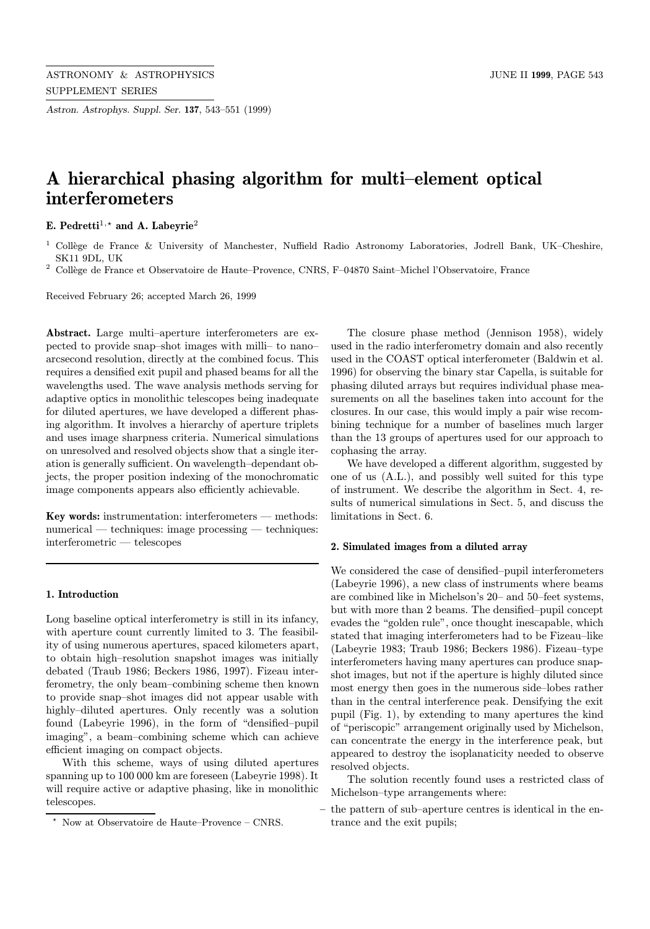Astron. Astrophys. Suppl. Ser. 137, 543–551 (1999)

# A hierarchical phasing algorithm for multi–element optical interferometers

E. Pedretti<sup>1,\*</sup> and A. Labevrie<sup>2</sup>

 $^2$  Collège de France et Observatoire de Haute–Provence, CNRS, F–04870 Saint–Michel l'Observatoire, France

Received February 26; accepted March 26, 1999

Abstract. Large multi–aperture interferometers are expected to provide snap–shot images with milli– to nano– arcsecond resolution, directly at the combined focus. This requires a densified exit pupil and phased beams for all the wavelengths used. The wave analysis methods serving for adaptive optics in monolithic telescopes being inadequate for diluted apertures, we have developed a different phasing algorithm. It involves a hierarchy of aperture triplets and uses image sharpness criteria. Numerical simulations on unresolved and resolved objects show that a single iteration is generally sufficient. On wavelength–dependant objects, the proper position indexing of the monochromatic image components appears also efficiently achievable.

Key words: instrumentation: interferometers — methods: numerical — techniques: image processing — techniques: interferometric — telescopes

#### 1. Introduction

Long baseline optical interferometry is still in its infancy, with aperture count currently limited to 3. The feasibility of using numerous apertures, spaced kilometers apart, to obtain high–resolution snapshot images was initially debated (Traub 1986; Beckers 1986, 1997). Fizeau interferometry, the only beam–combining scheme then known to provide snap–shot images did not appear usable with highly–diluted apertures. Only recently was a solution found (Labeyrie 1996), in the form of "densified–pupil imaging", a beam–combining scheme which can achieve efficient imaging on compact objects.

With this scheme, ways of using diluted apertures spanning up to 100 000 km are foreseen (Labeyrie 1998). It will require active or adaptive phasing, like in monolithic telescopes.

The closure phase method (Jennison 1958), widely used in the radio interferometry domain and also recently used in the COAST optical interferometer (Baldwin et al. 1996) for observing the binary star Capella, is suitable for phasing diluted arrays but requires individual phase measurements on all the baselines taken into account for the closures. In our case, this would imply a pair wise recombining technique for a number of baselines much larger than the 13 groups of apertures used for our approach to cophasing the array.

We have developed a different algorithm, suggested by one of us (A.L.), and possibly well suited for this type of instrument. We describe the algorithm in Sect. 4, results of numerical simulations in Sect. 5, and discuss the limitations in Sect. 6.

# 2. Simulated images from a diluted array

We considered the case of densified–pupil interferometers (Labeyrie 1996), a new class of instruments where beams are combined like in Michelson's 20– and 50–feet systems, but with more than 2 beams. The densified–pupil concept evades the "golden rule", once thought inescapable, which stated that imaging interferometers had to be Fizeau–like (Labeyrie 1983; Traub 1986; Beckers 1986). Fizeau–type interferometers having many apertures can produce snapshot images, but not if the aperture is highly diluted since most energy then goes in the numerous side–lobes rather than in the central interference peak. Densifying the exit pupil (Fig. 1), by extending to many apertures the kind of "periscopic" arrangement originally used by Michelson, can concentrate the energy in the interference peak, but appeared to destroy the isoplanaticity needed to observe resolved objects.

The solution recently found uses a restricted class of Michelson–type arrangements where:

– the pattern of sub–aperture centres is identical in the entrance and the exit pupils;

<sup>&</sup>lt;sup>1</sup> Collège de France & University of Manchester, Nuffield Radio Astronomy Laboratories, Jodrell Bank, UK–Cheshire, SK11 9DL, UK

<sup>?</sup> Now at Observatoire de Haute–Provence – CNRS.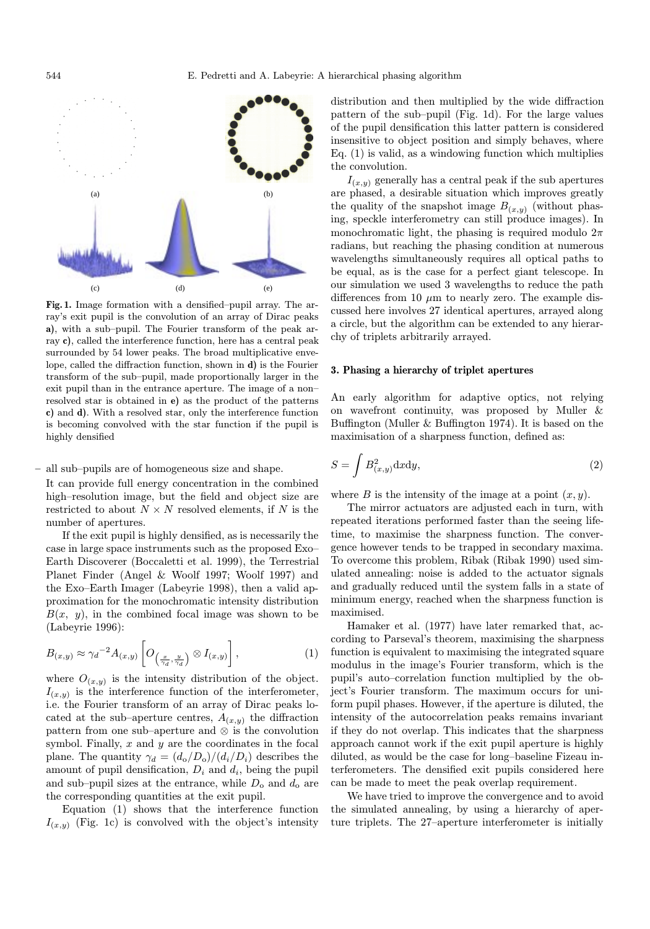

Fig. 1. Image formation with a densified–pupil array. The array's exit pupil is the convolution of an array of Dirac peaks a), with a sub–pupil. The Fourier transform of the peak array c), called the interference function, here has a central peak surrounded by 54 lower peaks. The broad multiplicative envelope, called the diffraction function, shown in d) is the Fourier transform of the sub–pupil, made proportionally larger in the exit pupil than in the entrance aperture. The image of a non– resolved star is obtained in e) as the product of the patterns c) and d). With a resolved star, only the interference function is becoming convolved with the star function if the pupil is highly densified

#### – all sub–pupils are of homogeneous size and shape.

It can provide full energy concentration in the combined high–resolution image, but the field and object size are restricted to about  $N \times N$  resolved elements, if N is the number of apertures.

If the exit pupil is highly densified, as is necessarily the case in large space instruments such as the proposed Exo– Earth Discoverer (Boccaletti et al. 1999), the Terrestrial Planet Finder (Angel & Woolf 1997; Woolf 1997) and the Exo–Earth Imager (Labeyrie 1998), then a valid approximation for the monochromatic intensity distribution  $B(x, y)$ , in the combined focal image was shown to be (Labeyrie 1996):

$$
B_{(x,y)} \approx \gamma_d^{-2} A_{(x,y)} \left[ O_{\left(\frac{x}{\gamma_d}, \frac{y}{\gamma_d}\right)} \otimes I_{(x,y)} \right],
$$
 (1)

where  $O_{(x,y)}$  is the intensity distribution of the object.  $I_{(x,y)}$  is the interference function of the interferometer, i.e. the Fourier transform of an array of Dirac peaks located at the sub–aperture centres,  $A_{(x,y)}$  the diffraction pattern from one sub–aperture and ⊗ is the convolution symbol. Finally,  $x$  and  $y$  are the coordinates in the focal plane. The quantity  $\gamma_d = (d_o/D_o)/(d_i/D_i)$  describes the amount of pupil densification,  $D_i$  and  $d_i$ , being the pupil and sub–pupil sizes at the entrance, while  $D_0$  and  $d_0$  are the corresponding quantities at the exit pupil.

Equation (1) shows that the interference function  $I_{(x,y)}$  (Fig. 1c) is convolved with the object's intensity distribution and then multiplied by the wide diffraction pattern of the sub–pupil (Fig. 1d). For the large values of the pupil densification this latter pattern is considered insensitive to object position and simply behaves, where Eq. (1) is valid, as a windowing function which multiplies the convolution.

 $I_{(x,y)}$  generally has a central peak if the sub apertures are phased, a desirable situation which improves greatly the quality of the snapshot image  $B_{(x,y)}$  (without phasing, speckle interferometry can still produce images). In monochromatic light, the phasing is required modulo  $2\pi$ radians, but reaching the phasing condition at numerous wavelengths simultaneously requires all optical paths to be equal, as is the case for a perfect giant telescope. In our simulation we used 3 wavelengths to reduce the path differences from 10  $\mu$ m to nearly zero. The example discussed here involves 27 identical apertures, arrayed along a circle, but the algorithm can be extended to any hierarchy of triplets arbitrarily arrayed.

#### 3. Phasing a hierarchy of triplet apertures

An early algorithm for adaptive optics, not relying on wavefront continuity, was proposed by Muller & Buffington (Muller & Buffington 1974). It is based on the maximisation of a sharpness function, defined as:

$$
S = \int B_{(x,y)}^2 \, \mathrm{d}x \, \mathrm{d}y,\tag{2}
$$

where B is the intensity of the image at a point  $(x, y)$ .

The mirror actuators are adjusted each in turn, with repeated iterations performed faster than the seeing lifetime, to maximise the sharpness function. The convergence however tends to be trapped in secondary maxima. To overcome this problem, Ribak (Ribak 1990) used simulated annealing: noise is added to the actuator signals and gradually reduced until the system falls in a state of minimum energy, reached when the sharpness function is maximised.

Hamaker et al. (1977) have later remarked that, according to Parseval's theorem, maximising the sharpness function is equivalent to maximising the integrated square modulus in the image's Fourier transform, which is the pupil's auto–correlation function multiplied by the object's Fourier transform. The maximum occurs for uniform pupil phases. However, if the aperture is diluted, the intensity of the autocorrelation peaks remains invariant if they do not overlap. This indicates that the sharpness approach cannot work if the exit pupil aperture is highly diluted, as would be the case for long–baseline Fizeau interferometers. The densified exit pupils considered here can be made to meet the peak overlap requirement.

We have tried to improve the convergence and to avoid the simulated annealing, by using a hierarchy of aperture triplets. The 27–aperture interferometer is initially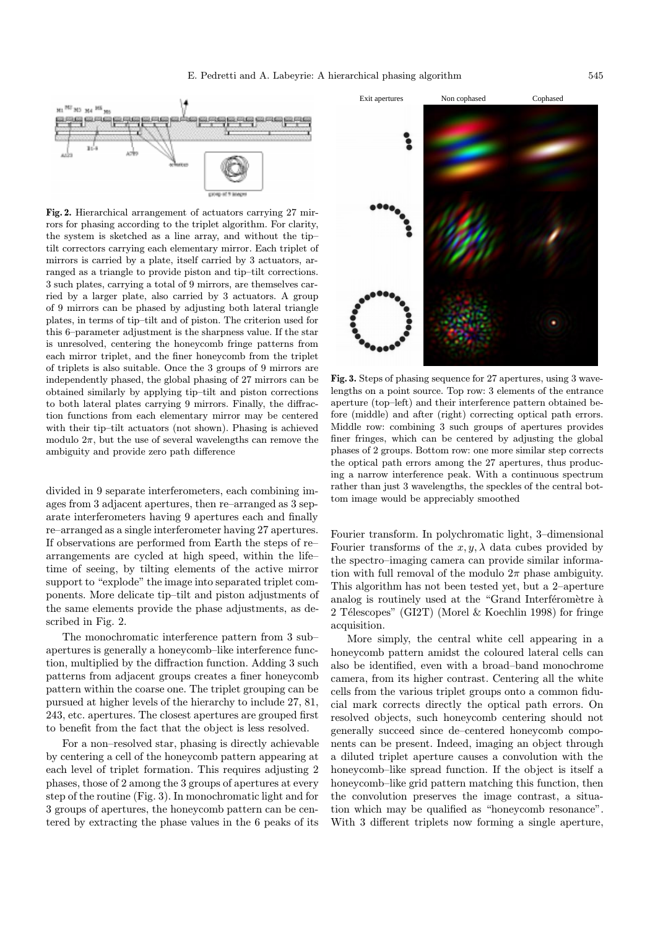

Fig. 2. Hierarchical arrangement of actuators carrying 27 mirrors for phasing according to the triplet algorithm. For clarity, the system is sketched as a line array, and without the tip– tilt correctors carrying each elementary mirror. Each triplet of mirrors is carried by a plate, itself carried by 3 actuators, arranged as a triangle to provide piston and tip–tilt corrections. 3 such plates, carrying a total of 9 mirrors, are themselves carried by a larger plate, also carried by 3 actuators. A group of 9 mirrors can be phased by adjusting both lateral triangle plates, in terms of tip–tilt and of piston. The criterion used for this 6–parameter adjustment is the sharpness value. If the star is unresolved, centering the honeycomb fringe patterns from each mirror triplet, and the finer honeycomb from the triplet of triplets is also suitable. Once the 3 groups of 9 mirrors are independently phased, the global phasing of 27 mirrors can be obtained similarly by applying tip–tilt and piston corrections to both lateral plates carrying 9 mirrors. Finally, the diffraction functions from each elementary mirror may be centered with their tip–tilt actuators (not shown). Phasing is achieved modulo  $2\pi$ , but the use of several wavelengths can remove the ambiguity and provide zero path difference

divided in 9 separate interferometers, each combining images from 3 adjacent apertures, then re–arranged as 3 separate interferometers having 9 apertures each and finally re–arranged as a single interferometer having 27 apertures. If observations are performed from Earth the steps of re– arrangements are cycled at high speed, within the life– time of seeing, by tilting elements of the active mirror support to "explode" the image into separated triplet components. More delicate tip–tilt and piston adjustments of the same elements provide the phase adjustments, as described in Fig. 2.

The monochromatic interference pattern from 3 sub– apertures is generally a honeycomb–like interference function, multiplied by the diffraction function. Adding 3 such patterns from adjacent groups creates a finer honeycomb pattern within the coarse one. The triplet grouping can be pursued at higher levels of the hierarchy to include 27, 81, 243, etc. apertures. The closest apertures are grouped first to benefit from the fact that the object is less resolved.

For a non–resolved star, phasing is directly achievable by centering a cell of the honeycomb pattern appearing at each level of triplet formation. This requires adjusting 2 phases, those of 2 among the 3 groups of apertures at every step of the routine (Fig. 3). In monochromatic light and for 3 groups of apertures, the honeycomb pattern can be centered by extracting the phase values in the 6 peaks of its



Fig. 3. Steps of phasing sequence for 27 apertures, using 3 wavelengths on a point source. Top row: 3 elements of the entrance aperture (top–left) and their interference pattern obtained before (middle) and after (right) correcting optical path errors. Middle row: combining 3 such groups of apertures provides finer fringes, which can be centered by adjusting the global phases of 2 groups. Bottom row: one more similar step corrects the optical path errors among the 27 apertures, thus producing a narrow interference peak. With a continuous spectrum rather than just 3 wavelengths, the speckles of the central bottom image would be appreciably smoothed

Fourier transform. In polychromatic light, 3–dimensional Fourier transforms of the  $x, y, \lambda$  data cubes provided by the spectro–imaging camera can provide similar information with full removal of the modulo  $2\pi$  phase ambiguity. This algorithm has not been tested yet, but a 2–aperture analog is routinely used at the "Grand Interféromètre à 2 Télescopes" (GI2T) (Morel & Koechlin 1998) for fringe acquisition.

More simply, the central white cell appearing in a honeycomb pattern amidst the coloured lateral cells can also be identified, even with a broad–band monochrome camera, from its higher contrast. Centering all the white cells from the various triplet groups onto a common fiducial mark corrects directly the optical path errors. On resolved objects, such honeycomb centering should not generally succeed since de–centered honeycomb components can be present. Indeed, imaging an object through a diluted triplet aperture causes a convolution with the honeycomb–like spread function. If the object is itself a honeycomb–like grid pattern matching this function, then the convolution preserves the image contrast, a situation which may be qualified as "honeycomb resonance". With 3 different triplets now forming a single aperture,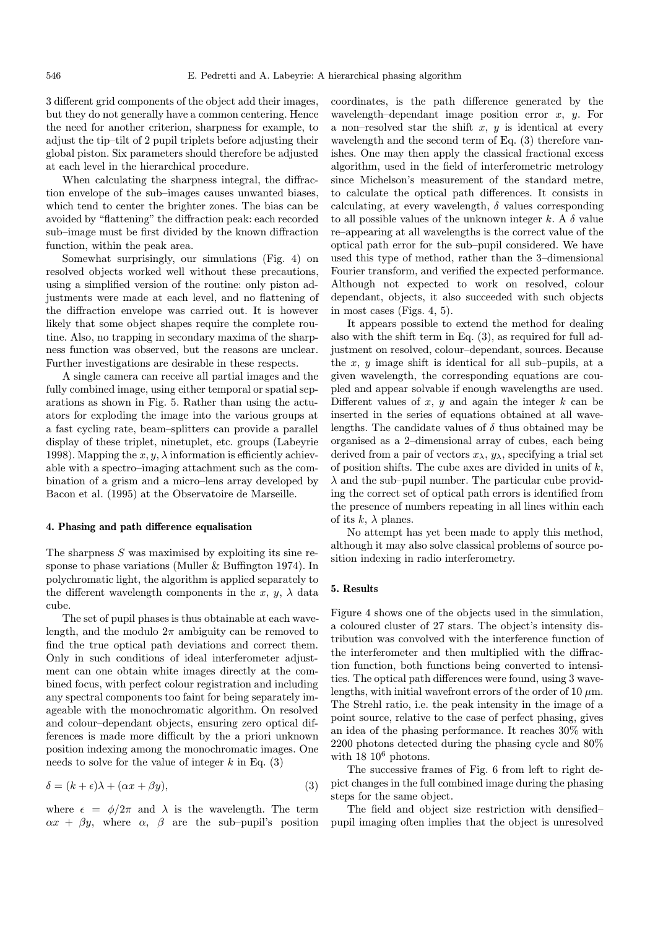3 different grid components of the object add their images, but they do not generally have a common centering. Hence the need for another criterion, sharpness for example, to adjust the tip–tilt of 2 pupil triplets before adjusting their global piston. Six parameters should therefore be adjusted at each level in the hierarchical procedure.

When calculating the sharpness integral, the diffraction envelope of the sub–images causes unwanted biases, which tend to center the brighter zones. The bias can be avoided by "flattening" the diffraction peak: each recorded sub–image must be first divided by the known diffraction function, within the peak area.

Somewhat surprisingly, our simulations (Fig. 4) on resolved objects worked well without these precautions, using a simplified version of the routine: only piston adjustments were made at each level, and no flattening of the diffraction envelope was carried out. It is however likely that some object shapes require the complete routine. Also, no trapping in secondary maxima of the sharpness function was observed, but the reasons are unclear. Further investigations are desirable in these respects.

A single camera can receive all partial images and the fully combined image, using either temporal or spatial separations as shown in Fig. 5. Rather than using the actuators for exploding the image into the various groups at a fast cycling rate, beam–splitters can provide a parallel display of these triplet, ninetuplet, etc. groups (Labeyrie 1998). Mapping the  $x, y, \lambda$  information is efficiently achievable with a spectro–imaging attachment such as the combination of a grism and a micro–lens array developed by Bacon et al. (1995) at the Observatoire de Marseille.

# 4. Phasing and path difference equalisation

The sharpness S was maximised by exploiting its sine response to phase variations (Muller & Buffington 1974). In polychromatic light, the algorithm is applied separately to the different wavelength components in the x, y,  $\lambda$  data cube.

The set of pupil phases is thus obtainable at each wavelength, and the modulo  $2\pi$  ambiguity can be removed to find the true optical path deviations and correct them. Only in such conditions of ideal interferometer adjustment can one obtain white images directly at the combined focus, with perfect colour registration and including any spectral components too faint for being separately imageable with the monochromatic algorithm. On resolved and colour–dependant objects, ensuring zero optical differences is made more difficult by the a priori unknown position indexing among the monochromatic images. One needs to solve for the value of integer  $k$  in Eq. (3)

$$
\delta = (k + \epsilon)\lambda + (\alpha x + \beta y),\tag{3}
$$

where  $\epsilon = \phi/2\pi$  and  $\lambda$  is the wavelength. The term  $\alpha x + \beta y$ , where  $\alpha$ ,  $\beta$  are the sub-pupil's position coordinates, is the path difference generated by the wavelength–dependant image position error  $x$ ,  $y$ . For a non–resolved star the shift  $x, y$  is identical at every wavelength and the second term of Eq. (3) therefore vanishes. One may then apply the classical fractional excess algorithm, used in the field of interferometric metrology since Michelson's measurement of the standard metre, to calculate the optical path differences. It consists in calculating, at every wavelength,  $\delta$  values corresponding to all possible values of the unknown integer  $k$ . A  $\delta$  value re–appearing at all wavelengths is the correct value of the optical path error for the sub–pupil considered. We have used this type of method, rather than the 3–dimensional Fourier transform, and verified the expected performance. Although not expected to work on resolved, colour dependant, objects, it also succeeded with such objects in most cases (Figs. 4, 5).

It appears possible to extend the method for dealing also with the shift term in Eq. (3), as required for full adjustment on resolved, colour–dependant, sources. Because the  $x$ ,  $y$  image shift is identical for all sub-pupils, at a given wavelength, the corresponding equations are coupled and appear solvable if enough wavelengths are used. Different values of  $x, y$  and again the integer  $k$  can be inserted in the series of equations obtained at all wavelengths. The candidate values of  $\delta$  thus obtained may be organised as a 2–dimensional array of cubes, each being derived from a pair of vectors  $x_{\lambda}, y_{\lambda}$ , specifying a trial set of position shifts. The cube axes are divided in units of  $k$ ,  $\lambda$  and the sub–pupil number. The particular cube providing the correct set of optical path errors is identified from the presence of numbers repeating in all lines within each of its  $k, \lambda$  planes.

No attempt has yet been made to apply this method, although it may also solve classical problems of source position indexing in radio interferometry.

# 5. Results

Figure 4 shows one of the objects used in the simulation, a coloured cluster of 27 stars. The object's intensity distribution was convolved with the interference function of the interferometer and then multiplied with the diffraction function, both functions being converted to intensities. The optical path differences were found, using 3 wavelengths, with initial wavefront errors of the order of 10  $\mu$ m. The Strehl ratio, i.e. the peak intensity in the image of a point source, relative to the case of perfect phasing, gives an idea of the phasing performance. It reaches 30% with 2200 photons detected during the phasing cycle and 80% with  $18 \; 10^6$  photons.

The successive frames of Fig. 6 from left to right depict changes in the full combined image during the phasing steps for the same object.

The field and object size restriction with densified– pupil imaging often implies that the object is unresolved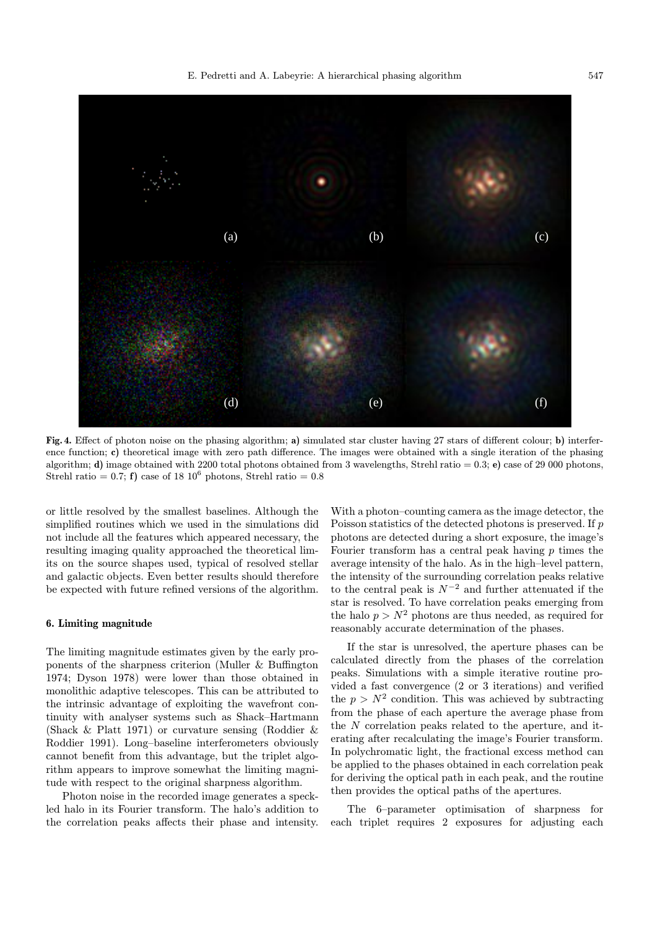

Fig. 4. Effect of photon noise on the phasing algorithm; a) simulated star cluster having 27 stars of different colour; b) interference function; c) theoretical image with zero path difference. The images were obtained with a single iteration of the phasing algorithm; d) image obtained with 2200 total photons obtained from 3 wavelengths, Strehl ratio = 0.3; e) case of 29 000 photons, Strehl ratio =  $0.7$ ; f) case of 18 10<sup>6</sup> photons, Strehl ratio = 0.8

or little resolved by the smallest baselines. Although the simplified routines which we used in the simulations did not include all the features which appeared necessary, the resulting imaging quality approached the theoretical limits on the source shapes used, typical of resolved stellar and galactic objects. Even better results should therefore be expected with future refined versions of the algorithm.

# 6. Limiting magnitude

The limiting magnitude estimates given by the early proponents of the sharpness criterion (Muller & Buffington 1974; Dyson 1978) were lower than those obtained in monolithic adaptive telescopes. This can be attributed to the intrinsic advantage of exploiting the wavefront continuity with analyser systems such as Shack–Hartmann (Shack & Platt 1971) or curvature sensing (Roddier & Roddier 1991). Long–baseline interferometers obviously cannot benefit from this advantage, but the triplet algorithm appears to improve somewhat the limiting magnitude with respect to the original sharpness algorithm.

Photon noise in the recorded image generates a speckled halo in its Fourier transform. The halo's addition to the correlation peaks affects their phase and intensity.

With a photon–counting camera as the image detector, the Poisson statistics of the detected photons is preserved. If p photons are detected during a short exposure, the image's Fourier transform has a central peak having  $p$  times the average intensity of the halo. As in the high–level pattern, the intensity of the surrounding correlation peaks relative to the central peak is  $N^{-2}$  and further attenuated if the star is resolved. To have correlation peaks emerging from the halo  $p>N^2$  photons are thus needed, as required for reasonably accurate determination of the phases.

If the star is unresolved, the aperture phases can be calculated directly from the phases of the correlation peaks. Simulations with a simple iterative routine provided a fast convergence (2 or 3 iterations) and verified the  $p>N^2$  condition. This was achieved by subtracting from the phase of each aperture the average phase from the N correlation peaks related to the aperture, and iterating after recalculating the image's Fourier transform. In polychromatic light, the fractional excess method can be applied to the phases obtained in each correlation peak for deriving the optical path in each peak, and the routine then provides the optical paths of the apertures.

The 6–parameter optimisation of sharpness for each triplet requires 2 exposures for adjusting each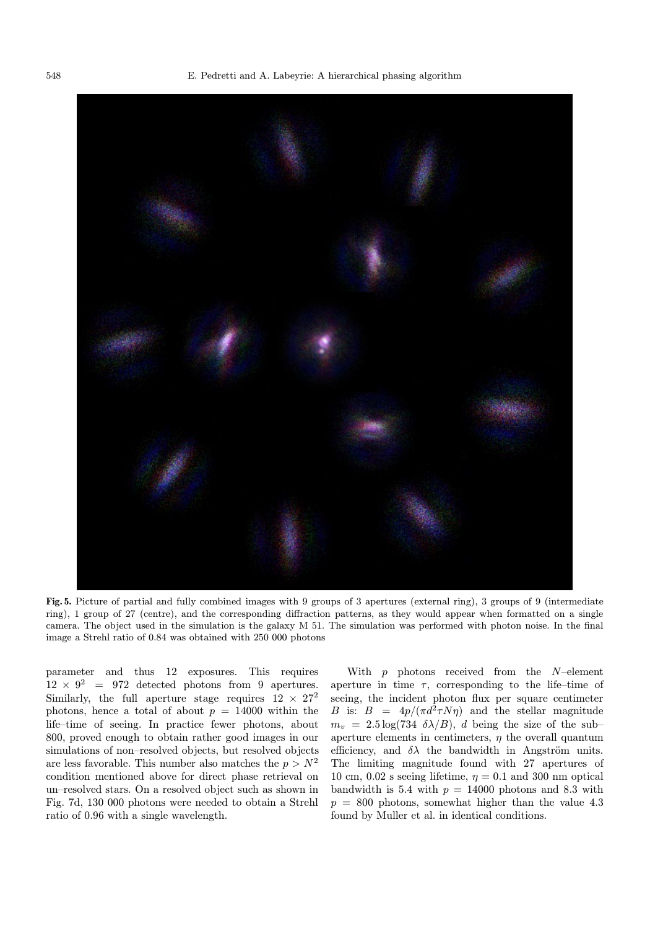

Fig. 5. Picture of partial and fully combined images with 9 groups of 3 apertures (external ring), 3 groups of 9 (intermediate ring), 1 group of 27 (centre), and the corresponding diffraction patterns, as they would appear when formatted on a single camera. The object used in the simulation is the galaxy M 51. The simulation was performed with photon noise. In the final image a Strehl ratio of 0.84 was obtained with 250 000 photons

parameter and thus 12 exposures. This requires  $12 \times 9^2 = 972$  detected photons from 9 apertures. Similarly, the full aperture stage requires  $12 \times 27^2$ photons, hence a total of about  $p = 14000$  within the life–time of seeing. In practice fewer photons, about 800, proved enough to obtain rather good images in our simulations of non–resolved objects, but resolved objects are less favorable. This number also matches the  $p>N^2$ condition mentioned above for direct phase retrieval on un–resolved stars. On a resolved object such as shown in Fig. 7d, 130 000 photons were needed to obtain a Strehl ratio of 0.96 with a single wavelength.

With  $p$  photons received from the  $N$ –element aperture in time  $\tau$ , corresponding to the life–time of seeing, the incident photon flux per square centimeter B is:  $B = 4p/(\pi d^2 \tau N\eta)$  and the stellar magnitude  $m_v = 2.5 \log(734 \delta \lambda/B)$ , d being the size of the subaperture elements in centimeters,  $\eta$  the overall quantum efficiency, and  $\delta \lambda$  the bandwidth in Angström units. The limiting magnitude found with 27 apertures of 10 cm, 0.02 s seeing lifetime,  $\eta = 0.1$  and 300 nm optical bandwidth is 5.4 with  $p = 14000$  photons and 8.3 with  $p = 800$  photons, somewhat higher than the value 4.3 found by Muller et al. in identical conditions.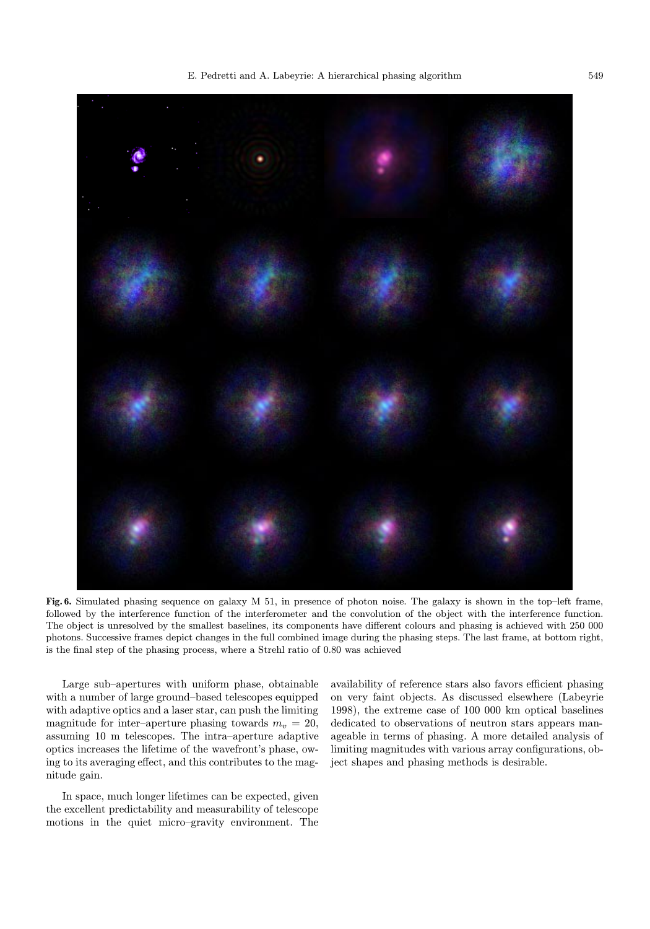

Fig. 6. Simulated phasing sequence on galaxy M 51, in presence of photon noise. The galaxy is shown in the top–left frame, followed by the interference function of the interferometer and the convolution of the object with the interference function. The object is unresolved by the smallest baselines, its components have different colours and phasing is achieved with 250 000 photons. Successive frames depict changes in the full combined image during the phasing steps. The last frame, at bottom right, is the final step of the phasing process, where a Strehl ratio of 0.80 was achieved

Large sub–apertures with uniform phase, obtainable with a number of large ground–based telescopes equipped with adaptive optics and a laser star, can push the limiting magnitude for inter-aperture phasing towards  $m_v = 20$ , assuming 10 m telescopes. The intra–aperture adaptive optics increases the lifetime of the wavefront's phase, owing to its averaging effect, and this contributes to the magnitude gain.

In space, much longer lifetimes can be expected, given the excellent predictability and measurability of telescope motions in the quiet micro–gravity environment. The

availability of reference stars also favors efficient phasing on very faint objects. As discussed elsewhere (Labeyrie 1998), the extreme case of 100 000 km optical baselines dedicated to observations of neutron stars appears manageable in terms of phasing. A more detailed analysis of limiting magnitudes with various array configurations, object shapes and phasing methods is desirable.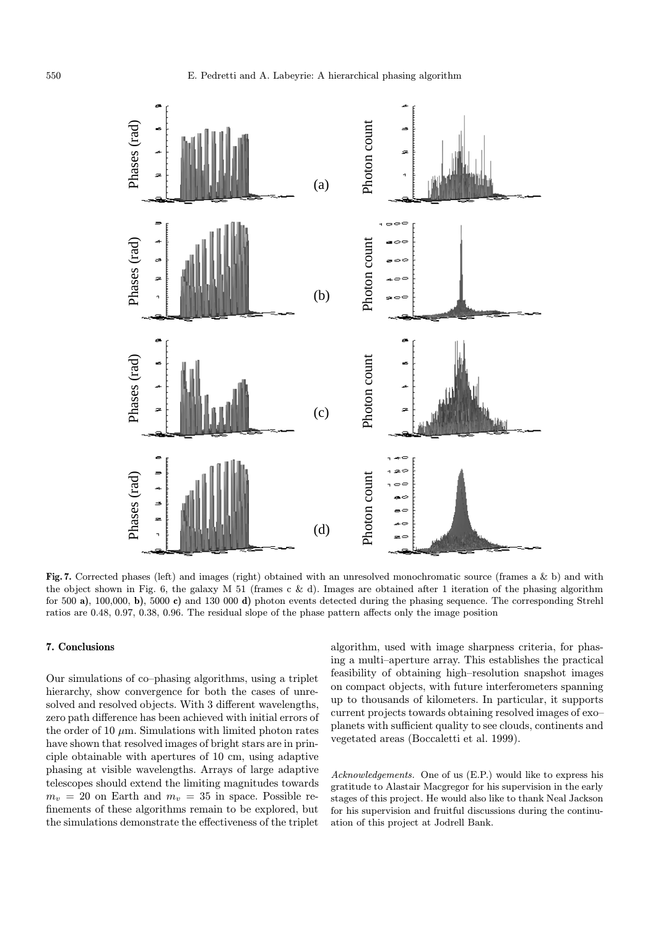

Fig. 7. Corrected phases (left) and images (right) obtained with an unresolved monochromatic source (frames a & b) and with the object shown in Fig. 6, the galaxy M 51 (frames c & d). Images are obtained after 1 iteration of the phasing algorithm for 500 a), 100,000, b), 5000 c) and 130 000 d) photon events detected during the phasing sequence. The corresponding Strehl ratios are 0.48, 0.97, 0.38, 0.96. The residual slope of the phase pattern affects only the image position

## 7. Conclusions

Our simulations of co–phasing algorithms, using a triplet hierarchy, show convergence for both the cases of unresolved and resolved objects. With 3 different wavelengths, zero path difference has been achieved with initial errors of the order of 10  $\mu$ m. Simulations with limited photon rates have shown that resolved images of bright stars are in principle obtainable with apertures of 10 cm, using adaptive phasing at visible wavelengths. Arrays of large adaptive telescopes should extend the limiting magnitudes towards  $m_v = 20$  on Earth and  $m_v = 35$  in space. Possible refinements of these algorithms remain to be explored, but the simulations demonstrate the effectiveness of the triplet

algorithm, used with image sharpness criteria, for phasing a multi–aperture array. This establishes the practical feasibility of obtaining high–resolution snapshot images on compact objects, with future interferometers spanning up to thousands of kilometers. In particular, it supports current projects towards obtaining resolved images of exo– planets with sufficient quality to see clouds, continents and vegetated areas (Boccaletti et al. 1999).

Acknowledgements. One of us (E.P.) would like to express his gratitude to Alastair Macgregor for his supervision in the early stages of this project. He would also like to thank Neal Jackson for his supervision and fruitful discussions during the continuation of this project at Jodrell Bank.